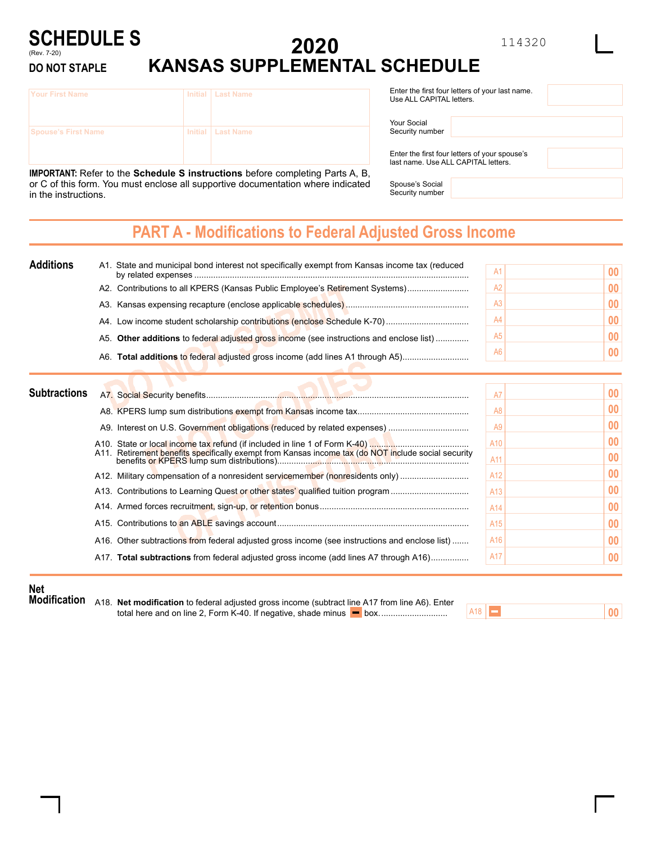### <sup>114320</sup> **2020 KANSAS SUPPLEMENTAL SCHEDULE SCHEDULE S** (Rev. 7-20) **DO NOT STAPLE**

| lYour First Name           | Initial   Last Name |
|----------------------------|---------------------|
| <b>Spouse's First Name</b> | Initial   Last Name |

**IMPORTANT:** Refer to the **Schedule S instructions** before completing Parts A, B, or C of this form. You must enclose all supportive documentation where indicated in the instructions.

| Enter the first four letters of your last name.<br>Use ALL CAPITAL letters. |  |  |  |  |  |  |
|-----------------------------------------------------------------------------|--|--|--|--|--|--|
| Your Social<br>Security number                                              |  |  |  |  |  |  |

Enter the first four letters of your spouse's last name. Use ALL CAPITAL letters.

Spouse's Social Security number

## **PART A - Modifications to Federal Adjusted Gross Income**

| <b>Additions</b>    | A1. State and municipal bond interest not specifically exempt from Kansas income tax (reduced | A <sup>1</sup> | 00 |
|---------------------|-----------------------------------------------------------------------------------------------|----------------|----|
|                     | A2. Contributions to all KPERS (Kansas Public Employee's Retirement Systems)                  | A2             | 00 |
|                     |                                                                                               | Α3             | 00 |
|                     |                                                                                               | A4             | 00 |
|                     | A5. Other additions to federal adjusted gross income (see instructions and enclose list)      | <b>A5</b>      | 00 |
|                     | A6. Total additions to federal adjusted gross income (add lines A1 through A5)                | A6             | 00 |
| <b>Subtractions</b> | A7. Social Security benefits                                                                  | Αī             |    |
|                     |                                                                                               | A8             | 00 |
|                     |                                                                                               | A <sub>9</sub> | 00 |

| A11. Retirement benefits specifically exempt from Kansas income tax (do NOT include social security | A <sub>10</sub><br>A11 | 0 <sub>0</sub><br>0 <sub>0</sub> |
|-----------------------------------------------------------------------------------------------------|------------------------|----------------------------------|
| A12. Military compensation of a nonresident servicemember (nonresidents only)                       | A <sub>12</sub>        | 0 <sub>0</sub>                   |
|                                                                                                     | A13                    | 0 <sub>0</sub>                   |
|                                                                                                     | A <sub>14</sub>        | 0 <sub>0</sub>                   |
|                                                                                                     | A <sub>15</sub>        | 0 <sub>0</sub>                   |
| A16. Other subtractions from federal adjusted gross income (see instructions and enclose list)      | A16                    | 0 <sub>0</sub>                   |
| A17. Total subtractions from federal adjusted gross income (add lines A7 through A16)               | A17                    | 0 <sup>0</sup>                   |
|                                                                                                     |                        |                                  |

## **Net**

**Modification** A18. **Net modification** to federal adjusted gross income (subtract line A17 from line A6). Enter total here and on line 2, Form K-40. If negative, shade minus box.............................

 $AI8$ 

**00**